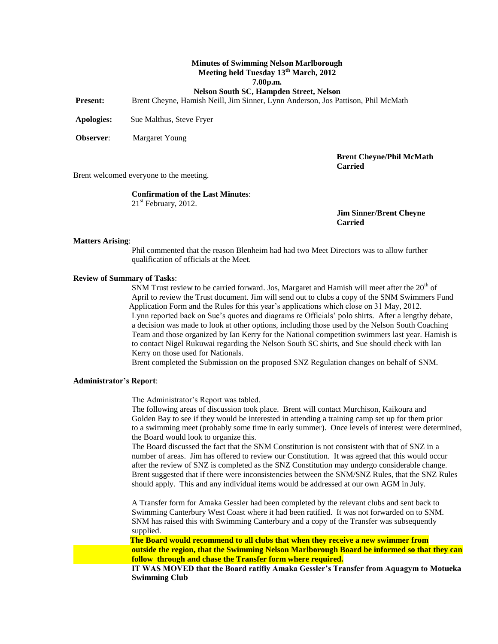### **Minutes of Swimming Nelson Marlborough Meeting held Tuesday 13th March, 2012 7.00p.m.**

**Nelson South SC, Hampden Street, Nelson**

**Present:** Brent Cheyne, Hamish Neill, Jim Sinner, Lynn Anderson, Jos Pattison, Phil McMath

**Apologies:** Sue Malthus, Steve Fryer

**Observer**: Margaret Young

**Brent Cheyne/Phil McMath Carried**

Brent welcomed everyone to the meeting.

### **Confirmation of the Last Minutes**:

 $21<sup>st</sup>$  February, 2012.

**Jim Sinner/Brent Cheyne Carried**

### **Matters Arising**:

Phil commented that the reason Blenheim had had two Meet Directors was to allow further qualification of officials at the Meet.

#### **Review of Summary of Tasks**:

SNM Trust review to be carried forward. Jos, Margaret and Hamish will meet after the  $20<sup>th</sup>$  of April to review the Trust document. Jim will send out to clubs a copy of the SNM Swimmers Fund Application Form and the Rules for this year's applications which close on 31 May, 2012. Lynn reported back on Sue's quotes and diagrams re Officials' polo shirts. After a lengthy debate, a decision was made to look at other options, including those used by the Nelson South Coaching Team and those organized by Ian Kerry for the National competition swimmers last year. Hamish is to contact Nigel Rukuwai regarding the Nelson South SC shirts, and Sue should check with Ian Kerry on those used for Nationals.

Brent completed the Submission on the proposed SNZ Regulation changes on behalf of SNM.

### **Administrator's Report**:

The Administrator's Report was tabled.

The following areas of discussion took place. Brent will contact Murchison, Kaikoura and Golden Bay to see if they would be interested in attending a training camp set up for them prior to a swimming meet (probably some time in early summer). Once levels of interest were determined, the Board would look to organize this.

The Board discussed the fact that the SNM Constitution is not consistent with that of SNZ in a number of areas. Jim has offered to review our Constitution. It was agreed that this would occur after the review of SNZ is completed as the SNZ Constitution may undergo considerable change. Brent suggested that if there were inconsistencies between the SNM/SNZ Rules, that the SNZ Rules should apply. This and any individual items would be addressed at our own AGM in July.

A Transfer form for Amaka Gessler had been completed by the relevant clubs and sent back to Swimming Canterbury West Coast where it had been ratified. It was not forwarded on to SNM. SNM has raised this with Swimming Canterbury and a copy of the Transfer was subsequently supplied.

 **The Board would recommend to all clubs that when they receive a new swimmer from outside the region, that the Swimming Nelson Marlborough Board be informed so that they can follow through and chase the Transfer form where required.**

**IT WAS MOVED that the Board ratifiy Amaka Gessler's Transfer from Aquagym to Motueka Swimming Club**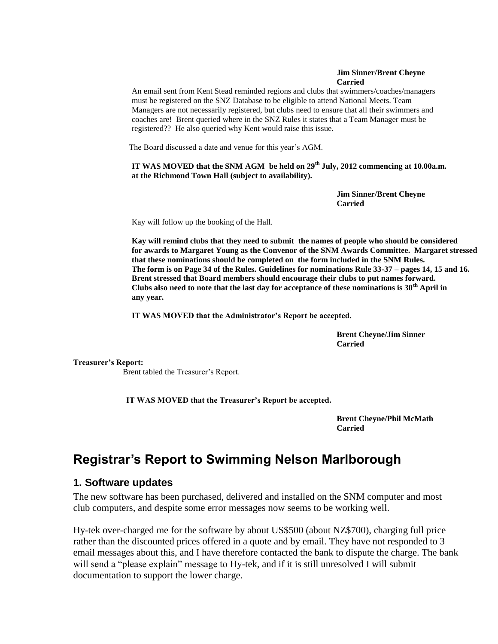### **Jim Sinner/Brent Cheyne Carried**

An email sent from Kent Stead reminded regions and clubs that swimmers/coaches/managers must be registered on the SNZ Database to be eligible to attend National Meets. Team Managers are not necessarily registered, but clubs need to ensure that all their swimmers and coaches are! Brent queried where in the SNZ Rules it states that a Team Manager must be registered?? He also queried why Kent would raise this issue.

The Board discussed a date and venue for this year's AGM.

**IT WAS MOVED that the SNM AGM be held on 29th July, 2012 commencing at 10.00a.m. at the Richmond Town Hall (subject to availability).**

> **Jim Sinner/Brent Cheyne Carried**

Kay will follow up the booking of the Hall.

**Kay will remind clubs that they need to submit the names of people who should be considered for awards to Margaret Young as the Convenor of the SNM Awards Committee. Margaret stressed that these nominations should be completed on the form included in the SNM Rules. The form is on Page 34 of the Rules. Guidelines for nominations Rule 33-37 – pages 14, 15 and 16. Brent stressed that Board members should encourage their clubs to put names forward. Clubs also need to note that the last day for acceptance of these nominations is 30th April in any year.**

**IT WAS MOVED that the Administrator's Report be accepted.**

**Brent Cheyne/Jim Sinner Carried**

**Treasurer's Report:**

Brent tabled the Treasurer's Report.

**IT WAS MOVED that the Treasurer's Report be accepted.**

**Brent Cheyne/Phil McMath Carried** 

# **Registrar's Report to Swimming Nelson Marlborough**

# **1. Software updates**

The new software has been purchased, delivered and installed on the SNM computer and most club computers, and despite some error messages now seems to be working well.

Hy-tek over-charged me for the software by about US\$500 (about NZ\$700), charging full price rather than the discounted prices offered in a quote and by email. They have not responded to 3 email messages about this, and I have therefore contacted the bank to dispute the charge. The bank will send a "please explain" message to Hy-tek, and if it is still unresolved I will submit documentation to support the lower charge.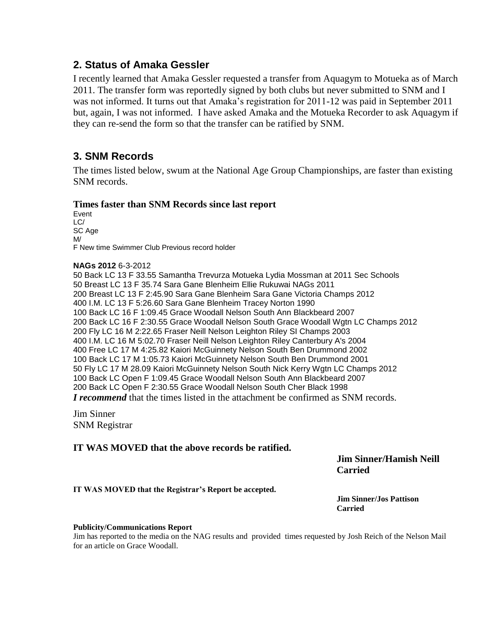## **2. Status of Amaka Gessler**

I recently learned that Amaka Gessler requested a transfer from Aquagym to Motueka as of March 2011. The transfer form was reportedly signed by both clubs but never submitted to SNM and I was not informed. It turns out that Amaka's registration for 2011-12 was paid in September 2011 but, again, I was not informed. I have asked Amaka and the Motueka Recorder to ask Aquagym if they can re-send the form so that the transfer can be ratified by SNM.

# **3. SNM Records**

The times listed below, swum at the National Age Group Championships, are faster than existing SNM records.

### **Times faster than SNM Records since last report**

Event LC/ SC Age M/ F New time Swimmer Club Previous record holder

### **NAGs 2012** 6-3-2012

50 Back LC 13 F 33.55 Samantha Trevurza Motueka Lydia Mossman at 2011 Sec Schools 50 Breast LC 13 F 35.74 Sara Gane Blenheim Ellie Rukuwai NAGs 2011 200 Breast LC 13 F 2:45.90 Sara Gane Blenheim Sara Gane Victoria Champs 2012 400 I.M. LC 13 F 5:26.60 Sara Gane Blenheim Tracey Norton 1990 100 Back LC 16 F 1:09.45 Grace Woodall Nelson South Ann Blackbeard 2007 200 Back LC 16 F 2:30.55 Grace Woodall Nelson South Grace Woodall Wgtn LC Champs 2012 200 Fly LC 16 M 2:22.65 Fraser Neill Nelson Leighton Riley SI Champs 2003 400 I.M. LC 16 M 5:02.70 Fraser Neill Nelson Leighton Riley Canterbury A's 2004 400 Free LC 17 M 4:25.82 Kaiori McGuinnety Nelson South Ben Drummond 2002 100 Back LC 17 M 1:05.73 Kaiori McGuinnety Nelson South Ben Drummond 2001 50 Fly LC 17 M 28.09 Kaiori McGuinnety Nelson South Nick Kerry Wgtn LC Champs 2012 100 Back LC Open F 1:09.45 Grace Woodall Nelson South Ann Blackbeard 2007 200 Back LC Open F 2:30.55 Grace Woodall Nelson South Cher Black 1998 *I recommend* that the times listed in the attachment be confirmed as SNM records.

Jim Sinner SNM Registrar

### **IT WAS MOVED that the above records be ratified.**

**Jim Sinner/Hamish Neill Carried**

**IT WAS MOVED that the Registrar's Report be accepted.**

**Jim Sinner/Jos Pattison Carried**

### **Publicity/Communications Report**

Jim has reported to the media on the NAG results and provided times requested by Josh Reich of the Nelson Mail for an article on Grace Woodall.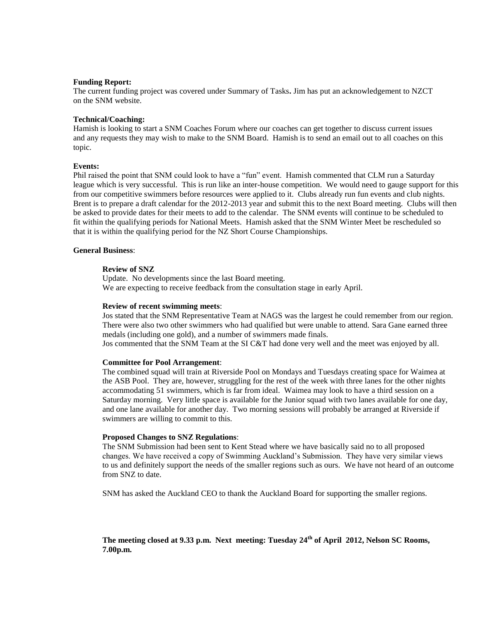### **Funding Report:**

The current funding project was covered under Summary of Tasks**.** Jim has put an acknowledgement to NZCT on the SNM website.

### **Technical/Coaching:**

Hamish is looking to start a SNM Coaches Forum where our coaches can get together to discuss current issues and any requests they may wish to make to the SNM Board. Hamish is to send an email out to all coaches on this topic.

### **Events:**

Phil raised the point that SNM could look to have a "fun" event. Hamish commented that CLM run a Saturday league which is very successful. This is run like an inter-house competition. We would need to gauge support for this from our competitive swimmers before resources were applied to it. Clubs already run fun events and club nights. Brent is to prepare a draft calendar for the 2012-2013 year and submit this to the next Board meeting. Clubs will then be asked to provide dates for their meets to add to the calendar. The SNM events will continue to be scheduled to fit within the qualifying periods for National Meets. Hamish asked that the SNM Winter Meet be rescheduled so that it is within the qualifying period for the NZ Short Course Championships.

### **General Business**:

### **Review of SNZ**

Update. No developments since the last Board meeting. We are expecting to receive feedback from the consultation stage in early April.

#### **Review of recent swimming meets**:

Jos stated that the SNM Representative Team at NAGS was the largest he could remember from our region. There were also two other swimmers who had qualified but were unable to attend. Sara Gane earned three medals (including one gold), and a number of swimmers made finals.

Jos commented that the SNM Team at the SI C&T had done very well and the meet was enjoyed by all.

### **Committee for Pool Arrangement**:

The combined squad will train at Riverside Pool on Mondays and Tuesdays creating space for Waimea at the ASB Pool. They are, however, struggling for the rest of the week with three lanes for the other nights accommodating 51 swimmers, which is far from ideal. Waimea may look to have a third session on a Saturday morning. Very little space is available for the Junior squad with two lanes available for one day, and one lane available for another day. Two morning sessions will probably be arranged at Riverside if swimmers are willing to commit to this.

#### **Proposed Changes to SNZ Regulations**:

The SNM Submission had been sent to Kent Stead where we have basically said no to all proposed changes. We have received a copy of Swimming Auckland's Submission. They have very similar views to us and definitely support the needs of the smaller regions such as ours. We have not heard of an outcome from SNZ to date.

SNM has asked the Auckland CEO to thank the Auckland Board for supporting the smaller regions.

**The meeting closed at 9.33 p.m. Next meeting: Tuesday 24th of April 2012, Nelson SC Rooms, 7.00p.m.**